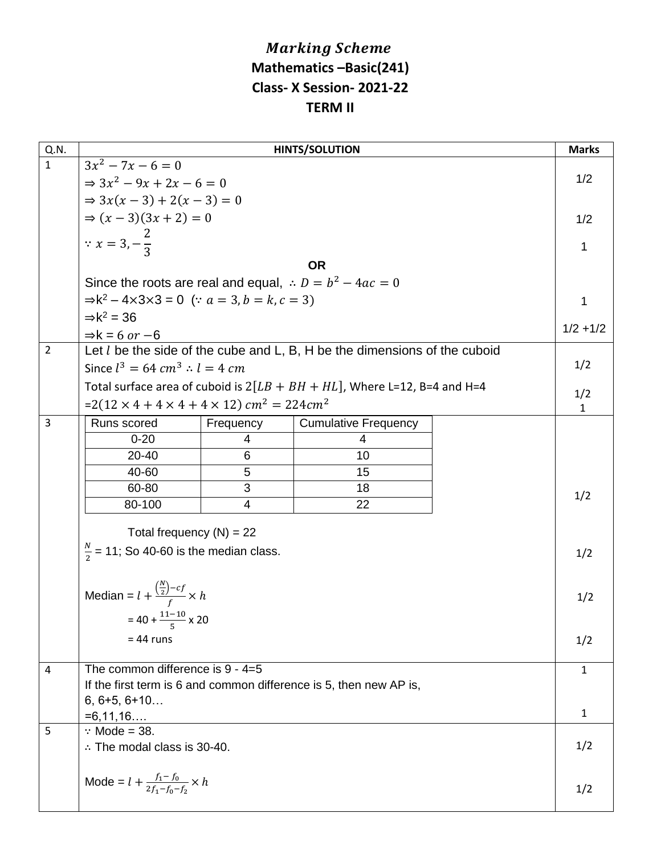## **Marking Scheme Mathematics –Basic(241) Class- X Session- 2021-22 TERM II**

| Q.N.           | <b>HINTS/SOLUTION</b>                                                                         |           |                                                                             |  |              |  |  |  |
|----------------|-----------------------------------------------------------------------------------------------|-----------|-----------------------------------------------------------------------------|--|--------------|--|--|--|
| $\mathbf{1}$   | $3x^2 - 7x - 6 = 0$                                                                           |           |                                                                             |  |              |  |  |  |
|                | $\Rightarrow 3x^2 - 9x + 2x - 6 = 0$                                                          |           |                                                                             |  |              |  |  |  |
|                | $\Rightarrow 3x(x-3) + 2(x-3) = 0$                                                            |           |                                                                             |  |              |  |  |  |
|                | $\Rightarrow (x-3)(3x+2) = 0$                                                                 |           |                                                                             |  |              |  |  |  |
|                | $\therefore x = 3, -\frac{2}{3}$                                                              |           |                                                                             |  |              |  |  |  |
|                |                                                                                               |           |                                                                             |  | 1            |  |  |  |
|                | <b>OR</b>                                                                                     |           |                                                                             |  |              |  |  |  |
|                | Since the roots are real and equal, $\therefore D = b^2 - 4ac = 0$                            |           |                                                                             |  |              |  |  |  |
|                | $\Rightarrow$ k <sup>2</sup> – 4×3×3 = 0 (: <i>a</i> = 3, <i>b</i> = <i>k</i> , <i>c</i> = 3) |           |                                                                             |  |              |  |  |  |
|                | $\Rightarrow$ k <sup>2</sup> = 36                                                             |           |                                                                             |  |              |  |  |  |
|                | $\Rightarrow$ k = 6 or -6                                                                     |           |                                                                             |  |              |  |  |  |
| $\overline{2}$ |                                                                                               |           | Let $l$ be the side of the cube and L, B, H be the dimensions of the cuboid |  |              |  |  |  |
|                | Since $l^3 = 64 \, \text{cm}^3 \cdot l = 4 \, \text{cm}$                                      |           |                                                                             |  | 1/2          |  |  |  |
|                |                                                                                               |           | Total surface area of cuboid is $2[LB + BH + HL]$ , Where L=12, B=4 and H=4 |  | 1/2          |  |  |  |
|                | $=2(12 \times 4 + 4 \times 4 + 4 \times 12)$ cm <sup>2</sup> = 224cm <sup>2</sup>             |           |                                                                             |  |              |  |  |  |
| 3              | Runs scored                                                                                   | Frequency | <b>Cumulative Frequency</b>                                                 |  |              |  |  |  |
|                | $0 - 20$                                                                                      | 4         | 4                                                                           |  |              |  |  |  |
|                | 20-40                                                                                         | 6         | 10                                                                          |  |              |  |  |  |
|                | 40-60                                                                                         | 5         | 15                                                                          |  |              |  |  |  |
|                | 60-80                                                                                         | 3         | 18                                                                          |  | 1/2          |  |  |  |
|                | 80-100                                                                                        | 4         | 22                                                                          |  |              |  |  |  |
|                | Total frequency $(N) = 22$                                                                    |           |                                                                             |  |              |  |  |  |
|                |                                                                                               |           |                                                                             |  | 1/2          |  |  |  |
|                | $\frac{N}{2}$ = 11; So 40-60 is the median class.                                             |           |                                                                             |  |              |  |  |  |
|                |                                                                                               |           |                                                                             |  |              |  |  |  |
|                | Median = $l + \frac{\left(\frac{N}{2}\right) - cf}{f} \times h$                               |           |                                                                             |  | 1/2          |  |  |  |
|                |                                                                                               |           |                                                                             |  |              |  |  |  |
|                | $=40 + \frac{11-10}{5} \times 20$                                                             |           |                                                                             |  |              |  |  |  |
|                | $= 44$ runs                                                                                   |           |                                                                             |  | 1/2          |  |  |  |
| 4              | The common difference is $9 - 4 = 5$                                                          |           |                                                                             |  |              |  |  |  |
|                | If the first term is 6 and common difference is 5, then new AP is,                            |           |                                                                             |  |              |  |  |  |
|                | $6, 6+5, 6+10$                                                                                |           |                                                                             |  |              |  |  |  |
|                | $=6,11,16$                                                                                    |           |                                                                             |  | $\mathbf{1}$ |  |  |  |
| 5              | $\therefore$ Mode = 38.                                                                       |           |                                                                             |  |              |  |  |  |
|                | $\therefore$ The modal class is 30-40.                                                        |           |                                                                             |  |              |  |  |  |
|                |                                                                                               |           |                                                                             |  |              |  |  |  |
|                | Mode = $l + \frac{f_1 - f_0}{2f_1 - f_0 - f_2} \times h$                                      |           |                                                                             |  |              |  |  |  |
|                |                                                                                               |           |                                                                             |  |              |  |  |  |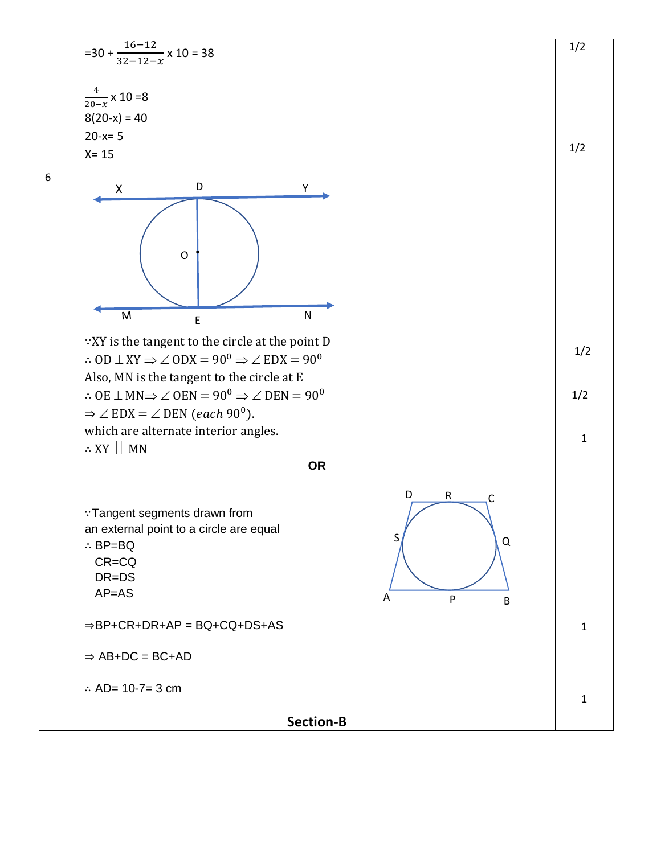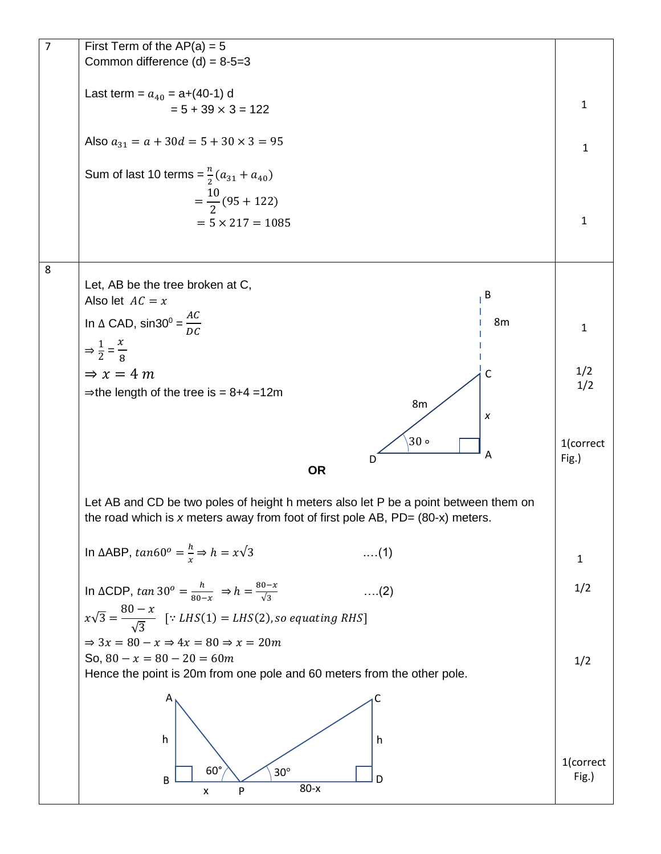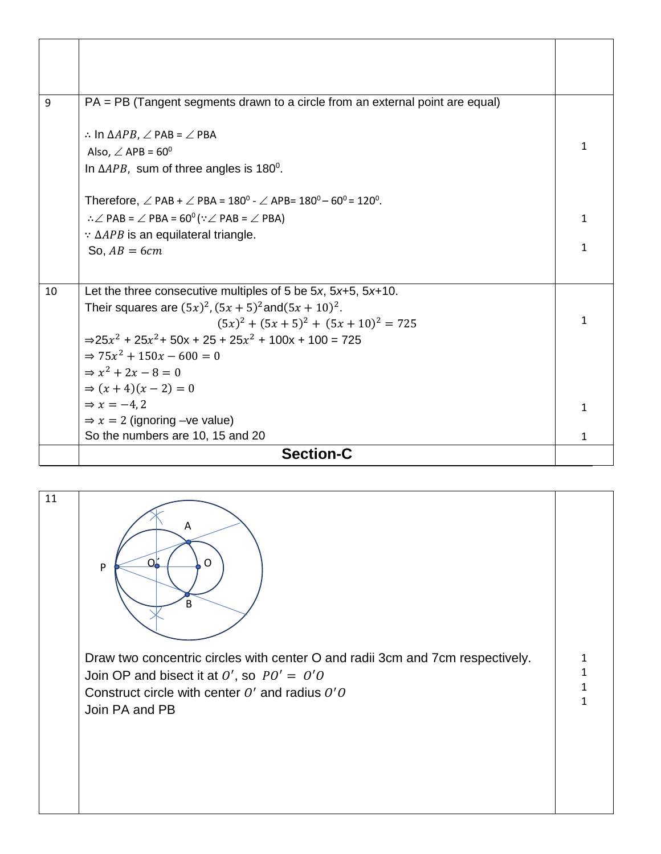| 9  | PA = PB (Tangent segments drawn to a circle from an external point are equal)                                                     |   |  |  |  |
|----|-----------------------------------------------------------------------------------------------------------------------------------|---|--|--|--|
|    |                                                                                                                                   |   |  |  |  |
|    | $\therefore$ In $\triangle APB$ , $\angle$ PAB = $\angle$ PBA                                                                     |   |  |  |  |
|    | Also, $\angle$ APB = 60 <sup>0</sup>                                                                                              |   |  |  |  |
|    | In $\triangle APB$ , sum of three angles is 180 <sup>0</sup> .                                                                    |   |  |  |  |
|    | Therefore, $\angle$ PAB + $\angle$ PBA = 180 <sup>0</sup> - $\angle$ APB= 180 <sup>0</sup> – 60 <sup>0</sup> = 120 <sup>0</sup> . |   |  |  |  |
|    | $\therefore \angle$ PAB = $\angle$ PBA = 60 <sup>0</sup> ( $\because \angle$ PAB = $\angle$ PBA)                                  |   |  |  |  |
|    | $\therefore$ $\triangle APB$ is an equilateral triangle.                                                                          |   |  |  |  |
|    | So, $AB = 6cm$                                                                                                                    |   |  |  |  |
|    |                                                                                                                                   |   |  |  |  |
| 10 | Let the three consecutive multiples of 5 be 5x, $5x+5$ , $5x+10$ .                                                                |   |  |  |  |
|    | Their squares are $(5x)^2$ , $(5x + 5)^2$ and $(5x + 10)^2$ .                                                                     |   |  |  |  |
|    | $(5x)^{2} + (5x + 5)^{2} + (5x + 10)^{2} = 725$                                                                                   |   |  |  |  |
|    | $\Rightarrow 25x^2 + 25x^2 + 50x + 25 + 25x^2 + 100x + 100 = 725$                                                                 |   |  |  |  |
|    | $\Rightarrow$ 75x <sup>2</sup> + 150x - 600 = 0                                                                                   |   |  |  |  |
|    | $\Rightarrow x^2 + 2x - 8 = 0$                                                                                                    |   |  |  |  |
|    | $\Rightarrow (x+4)(x-2) = 0$                                                                                                      |   |  |  |  |
|    | $\Rightarrow$ x = -4.2                                                                                                            |   |  |  |  |
|    | $\Rightarrow$ x = 2 (ignoring -ve value)                                                                                          |   |  |  |  |
|    | So the numbers are 10, 15 and 20                                                                                                  | 1 |  |  |  |
|    | <b>Section-C</b>                                                                                                                  |   |  |  |  |

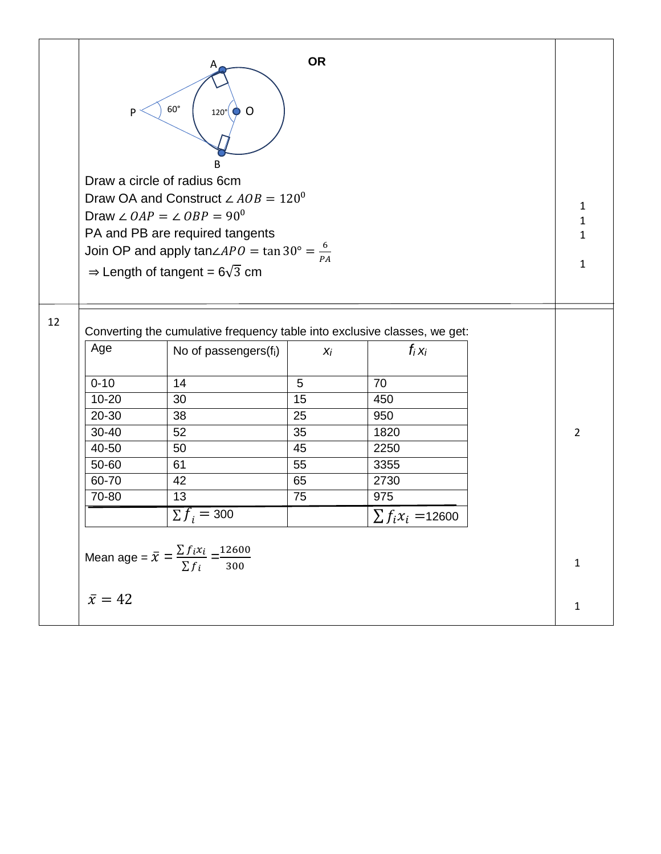|    | <b>OR</b><br>$60^\circ$<br>$120^\circ$ O<br>P<br>R                                                                             |                               |    |                        |  |                |  |  |
|----|--------------------------------------------------------------------------------------------------------------------------------|-------------------------------|----|------------------------|--|----------------|--|--|
|    | Draw a circle of radius 6cm                                                                                                    |                               |    |                        |  |                |  |  |
|    | Draw OA and Construct $\angle AOB = 120^{\circ}$<br>Draw $\angle OAP = \angle OBP = 90^{\circ}$                                |                               |    |                        |  |                |  |  |
|    |                                                                                                                                |                               |    |                        |  |                |  |  |
|    | PA and PB are required tangents                                                                                                |                               |    |                        |  |                |  |  |
|    | Join OP and apply $tan\angle APO = tan 30^\circ = \frac{6}{PA}$                                                                |                               |    |                        |  |                |  |  |
|    | $\Rightarrow$ Length of tangent = 6 $\sqrt{3}$ cm                                                                              |                               |    |                        |  |                |  |  |
|    |                                                                                                                                |                               |    |                        |  |                |  |  |
| 12 | Converting the cumulative frequency table into exclusive classes, we get:<br>Age<br>$f_i x_i$<br>No of passengers(fi)<br>$X_i$ |                               |    |                        |  |                |  |  |
|    | $0 - 10$                                                                                                                       | 14                            | 5  | 70                     |  |                |  |  |
|    | $10 - 20$                                                                                                                      | 30                            | 15 | 450                    |  |                |  |  |
|    | 20-30                                                                                                                          | 38                            | 25 | 950                    |  |                |  |  |
|    | 30-40                                                                                                                          | 52                            | 35 | 1820                   |  | $\overline{2}$ |  |  |
|    | 40-50                                                                                                                          | 50                            | 45 | 2250                   |  |                |  |  |
|    | 50-60                                                                                                                          | 61                            | 55 | 3355                   |  |                |  |  |
|    | 60-70                                                                                                                          | 42                            | 65 | 2730                   |  |                |  |  |
|    | 70-80                                                                                                                          | 13                            | 75 | 975                    |  |                |  |  |
|    |                                                                                                                                | $\overline{\Sigma} f_i = 300$ |    | $\sum f_i x_i = 12600$ |  |                |  |  |
|    | Mean age = $\bar{x} = \frac{\sum f_i x_i}{\sum f_i} = \frac{12600}{300}$                                                       |                               |    |                        |  |                |  |  |
|    | $\bar{x} = 42$                                                                                                                 |                               |    |                        |  | $\mathbf{1}$   |  |  |